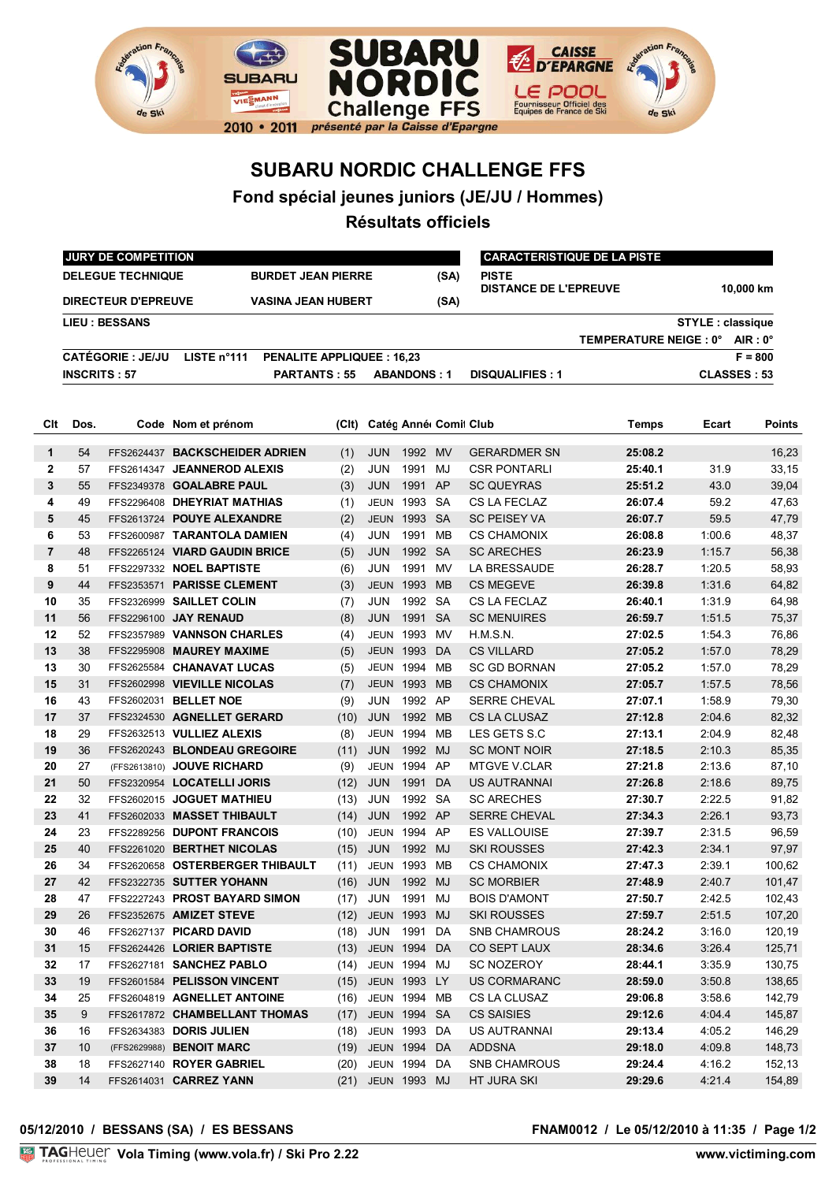

## **SUBARU NORDIC CHALLENGE FFS**

**Fond spécial jeunes juniors (JE/JU / Hommes)**

**Résultats officiels**

|     | <b>JURY DE COMPETITION</b>                              |                          |                                                 |                           |                       |                     |           |                                              | <b>CARACTERISTIQUE DE LA PISTE</b> |                         |               |  |  |
|-----|---------------------------------------------------------|--------------------------|-------------------------------------------------|---------------------------|-----------------------|---------------------|-----------|----------------------------------------------|------------------------------------|-------------------------|---------------|--|--|
|     |                                                         | <b>DELEGUE TECHNIQUE</b> |                                                 | <b>BURDET JEAN PIERRE</b> |                       |                     | (SA)      | <b>PISTE</b><br><b>DISTANCE DE L'EPREUVE</b> |                                    |                         |               |  |  |
|     | <b>DIRECTEUR D'EPREUVE</b><br><b>VASINA JEAN HUBERT</b> |                          |                                                 |                           |                       |                     | (SA)      |                                              |                                    |                         | 10.000 km     |  |  |
|     |                                                         | <b>LIEU : BESSANS</b>    |                                                 |                           |                       |                     |           |                                              |                                    | <b>STYLE: classique</b> |               |  |  |
|     |                                                         |                          |                                                 |                           |                       |                     |           |                                              | TEMPERATURE NEIGE : 0° AIR : 0°    |                         |               |  |  |
|     |                                                         | <b>CATÉGORIE : JE/JU</b> | LISTE n°111<br><b>PENALITE APPLIQUEE: 16,23</b> |                           |                       |                     |           |                                              |                                    |                         | $F = 800$     |  |  |
|     | <b>INSCRITS: 57</b>                                     |                          | <b>PARTANTS: 55</b>                             |                           |                       | <b>ABANDONS: 1</b>  |           | <b>DISQUALIFIES: 1</b>                       |                                    | <b>CLASSES: 53</b>      |               |  |  |
|     |                                                         |                          |                                                 |                           |                       |                     |           |                                              |                                    |                         |               |  |  |
| Clt | Dos.                                                    |                          | Code Nom et prénom                              | (CIt)                     | Catég Anné Comit Club |                     |           |                                              | Temps                              | Ecart                   | <b>Points</b> |  |  |
|     | 54                                                      |                          | FFS2624437 BACKSCHEIDER ADRIEN                  | (1)                       | <b>JUN</b>            | 1992 MV             |           | <b>GERARDMER SN</b>                          | 25:08.2                            |                         | 16,23         |  |  |
|     | 57                                                      |                          | FFS2614347 JEANNEROD ALEXIS                     | (2)                       | <b>JUN</b>            | 1991 MJ             |           | <b>CSR PONTARLI</b>                          | 25:40.1                            | 31.9                    | 33,15         |  |  |
|     | 55                                                      |                          | FFS2349378 GOALABRE PAUL                        | (3)                       | <b>JUN</b>            | 1991 AP             |           | <b>SC QUEYRAS</b>                            | 25:51.2                            | 43.0                    | 39,04         |  |  |
|     | 49                                                      |                          | FFS2296408 DHEYRIAT MATHIAS                     | (1)                       |                       | <b>JEUN 1993 SA</b> |           | CS LA FECLAZ                                 | 26:07.4                            | 59.2                    | 47,63         |  |  |
|     | 45                                                      |                          | FFS2613724 POUYE ALEXANDRE                      | (2)                       | <b>JEUN</b>           | 1993 SA             |           | <b>SC PEISEY VA</b>                          | 26:07.7                            | 59.5                    | 47,79         |  |  |
|     | 53                                                      |                          | FFS2600987 TARANTOLA DAMIEN                     | (4)                       | <b>JUN</b>            | 1991                | MВ        | <b>CS CHAMONIX</b>                           | 26:08.8                            | 1:00.6                  | 48,37         |  |  |
|     | 48                                                      |                          | FFS2265124 VIARD GAUDIN BRICE                   | (5)                       | <b>JUN</b>            | 1992 SA             |           | <b>SC ARECHES</b>                            | 26:23.9                            | 1:15.7                  | 56,38         |  |  |
|     | 51                                                      |                          | FFS2297332 NOEL BAPTISTE                        | (6)                       | <b>JUN</b>            | 1991                | MV        | LA BRESSAUDE                                 | 26:28.7                            | 1:20.5                  | 58,93         |  |  |
|     | 44                                                      |                          | FFS2353571 PARISSE CLEMENT                      | (3)                       | <b>JEUN</b>           | 1993                | <b>MB</b> | <b>CS MEGEVE</b>                             | 26:39.8                            | 1:31.6                  | 64,82         |  |  |
|     | 35                                                      |                          | FFS2326999 SAILLET COLIN                        | (7)                       | JUN                   | 1992                | SA        | CS LA FECLAZ                                 | 26:40.1                            | 1:31.9                  | 64,98         |  |  |
|     | 56                                                      |                          | FFS2296100 JAY RENAUD                           | (8)                       | <b>JUN</b>            | 1991                | <b>SA</b> | <b>SC MENUIRES</b>                           | 26:59.7                            | 1:51.5                  | 75,37         |  |  |
|     | 52                                                      |                          | FFS2357989 VANNSON CHARLES                      | (4)                       | <b>JEUN</b>           | 1993                | <b>MV</b> | H.M.S.N.                                     | 27:02.5                            | 1:54.3                  | 76,86         |  |  |
|     | 38                                                      |                          | FFS2295908 MAUREY MAXIME                        | (5)                       | <b>JEUN</b>           | 1993                | DA        | <b>CS VILLARD</b>                            | 27:05.2                            | 1:57.0                  | 78,29         |  |  |
|     | 30                                                      |                          | FFS2625584 CHANAVAT LUCAS                       | (5)                       | <b>JEUN</b>           | 1994                | MВ        | <b>SC GD BORNAN</b>                          | 27:05.2                            | 1:57.0                  | 78,29         |  |  |
|     | 31                                                      |                          | FFS2602998 VIEVILLE NICOLAS                     | (7)                       | <b>JEUN</b>           | 1993                | MB        | <b>CS CHAMONIX</b>                           | 27:05.7                            | 1:57.5                  | 78,56         |  |  |
|     | 43                                                      |                          | FFS2602031 BELLET NOE                           | (9)                       | JUN                   | 1992 AP             |           | <b>SERRE CHEVAL</b>                          | 27:07.1                            | 1:58.9                  | 79,30         |  |  |
|     | 37                                                      |                          | FFS2324530 AGNELLET GERARD                      | (10)                      | <b>JUN</b>            | 1992                | MB        | <b>CS LA CLUSAZ</b>                          | 27:12.8                            | 2:04.6                  | 82,32         |  |  |
|     | 29                                                      |                          | FFS2632513 VULLIEZ ALEXIS                       | (8)                       | <b>JEUN 1994</b>      |                     | MВ        | LES GETS S.C                                 | 27:13.1                            | 2:04.9                  | 82,48         |  |  |
|     | 36                                                      |                          | FFS2620243 BLONDEAU GREGOIRE                    | (11)                      | <b>JUN</b>            | 1992                | MJ        | <b>SC MONT NOIR</b>                          | 27:18.5                            | 2:10.3                  | 85,35         |  |  |
|     | 27                                                      |                          | (FFS2613810) JOUVE RICHARD                      | (9)                       |                       | <b>JEUN 1994 AP</b> |           | <b>MTGVE V.CLAR</b>                          | 27:21.8                            | 2:13.6                  | 87,10         |  |  |
|     | 50                                                      |                          | FFS2320954 LOCATELLI JORIS                      | (12)                      | <b>JUN</b>            | 1991                | DA        | <b>US AUTRANNAI</b>                          | 27:26.8                            | 2:18.6                  | 89,75         |  |  |
|     | 32                                                      |                          | FFS2602015 JOGUET MATHIEU                       | (13)                      | JUN                   | 1992                | SA        | <b>SC ARECHES</b>                            | 27:30.7                            | 2:22.5                  | 91,82         |  |  |
|     | 41                                                      |                          | FFS2602033 MASSET THIBAULT                      | (14)                      | <b>JUN</b>            | 1992                | AP        | <b>SERRE CHEVAL</b>                          | 27:34.3                            | 2:26.1                  | 93,73         |  |  |
|     | 23                                                      |                          | FFS2289256 DUPONT FRANCOIS                      | (10)                      | JEUN 1994 AP          |                     |           | <b>ES VALLOUISE</b>                          | 27:39.7                            | 2:31.5                  | 96,59         |  |  |
|     | 40                                                      |                          | FFS2261020 BERTHET NICOLAS                      | (15)                      | <b>JUN</b>            | 1992                | MJ        | <b>SKI ROUSSES</b>                           | 27:42.3                            | 2:34.1                  | 97,97         |  |  |
|     | 34                                                      |                          | FFS2620658 OSTERBERGER THIBAULT                 | (11)                      | JEUN                  | 1993                | <b>MB</b> | <b>CS CHAMONIX</b>                           | 27:47.3                            | 2:39.1                  | 100,62        |  |  |
|     | 42                                                      |                          | FFS2322735 SUTTER YOHANN                        |                           | $(16)$ JUN            | 1992 MJ             |           | <b>SC MORBIER</b>                            | 27:48.9                            | 2:40.7                  | 101,47        |  |  |
|     | 47                                                      |                          | FFS2227243 PROST BAYARD SIMON                   | (17)                      | JUN                   | 1991 MJ             |           | <b>BOIS D'AMONT</b>                          | 27:50.7                            | 2:42.5                  | 102,43        |  |  |
|     | 26                                                      |                          | FFS2352675 AMIZET STEVE                         | (12)                      | JEUN 1993 MJ          |                     |           | <b>SKI ROUSSES</b>                           | 27:59.7                            | 2:51.5                  | 107,20        |  |  |
|     | 46                                                      |                          | FFS2627137 PICARD DAVID                         |                           | $(18)$ JUN            | 1991 DA             |           | SNB CHAMROUS                                 | 28:24.2                            | 3:16.0                  | 120,19        |  |  |
|     | 15                                                      |                          | FFS2624426 LORIER BAPTISTE                      |                           | (13) JEUN 1994 DA     |                     |           | CO SEPT LAUX                                 | 28:34.6                            | 3:26.4                  | 125,71        |  |  |
|     | 17                                                      |                          | FFS2627181 SANCHEZ PABLO                        |                           | (14) JEUN 1994 MJ     |                     |           | SC NOZEROY                                   | 28:44.1                            | 3:35.9                  | 130,75        |  |  |
|     | 19                                                      |                          | FFS2601584 PELISSON VINCENT                     |                           | (15) JEUN 1993 LY     |                     |           | US CORMARANC                                 | 28:59.0                            | 3:50.8                  | 138,65        |  |  |
|     | 25                                                      |                          | FFS2604819 AGNELLET ANTOINE                     |                           | (16) JEUN 1994 MB     |                     |           | CS LA CLUSAZ                                 | 29:06.8                            | 3:58.6                  | 142,79        |  |  |
|     | 9                                                       |                          | FFS2617872 CHAMBELLANT THOMAS                   |                           | (17) JEUN 1994 SA     |                     |           | <b>CS SAISIES</b>                            | 29:12.6                            | 4:04.4                  | 145,87        |  |  |
|     | 16                                                      |                          | FFS2634383 DORIS JULIEN                         |                           | (18) JEUN 1993 DA     |                     |           | US AUTRANNAI                                 | 29:13.4                            | 4:05.2                  | 146,29        |  |  |
|     | 10                                                      |                          | (FFS2629988) BENOIT MARC                        |                           | (19) JEUN 1994        |                     | DA        | <b>ADDSNA</b>                                | 29:18.0                            | 4:09.8                  | 148,73        |  |  |
|     | 18                                                      |                          | FFS2627140 ROYER GABRIEL                        |                           | (20) JEUN 1994 DA     |                     |           | <b>SNB CHAMROUS</b>                          | 29:24.4                            | 4:16.2                  | 152,13        |  |  |
| 39  | 14                                                      |                          | FFS2614031 CARREZ YANN                          |                           | (21) JEUN 1993 MJ     |                     |           | HT JURA SKI                                  | 29:29.6                            | 4:21.4                  | 154,89        |  |  |